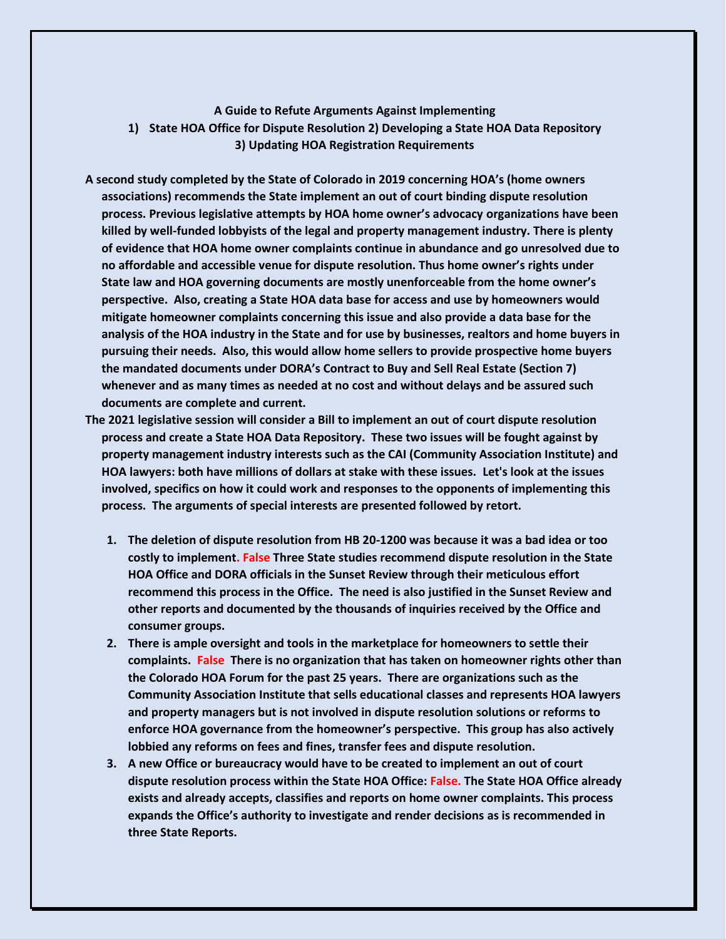## **A Guide to Refute Arguments Against Implementing 1) State HOA Office for Dispute Resolution 2) Developing a State HOA Data Repository 3) Updating HOA Registration Requirements**

- **A second study completed by the State of Colorado in 2019 concerning HOA's (home owners associations) recommends the State implement an out of court binding dispute resolution process. Previous legislative attempts by HOA home owner's advocacy organizations have been killed by well-funded lobbyists of the legal and property management industry. There is plenty of evidence that HOA home owner complaints continue in abundance and go unresolved due to no affordable and accessible venue for dispute resolution. Thus home owner's rights under State law and HOA governing documents are mostly unenforceable from the home owner's perspective. Also, creating a State HOA data base for access and use by homeowners would mitigate homeowner complaints concerning this issue and also provide a data base for the analysis of the HOA industry in the State and for use by businesses, realtors and home buyers in pursuing their needs. Also, this would allow home sellers to provide prospective home buyers the mandated documents under DORA's Contract to Buy and Sell Real Estate (Section 7) whenever and as many times as needed at no cost and without delays and be assured such documents are complete and current.**
- **The 2021 legislative session will consider a Bill to implement an out of court dispute resolution process and create a State HOA Data Repository. These two issues will be fought against by property management industry interests such as the CAI (Community Association Institute) and HOA lawyers: both have millions of dollars at stake with these issues. Let's look at the issues involved, specifics on how it could work and responses to the opponents of implementing this process. The arguments of special interests are presented followed by retort.**
	- **1. The deletion of dispute resolution from HB 20-1200 was because it was a bad idea or too costly to implement. False Three State studies recommend dispute resolution in the State HOA Office and DORA officials in the Sunset Review through their meticulous effort recommend this process in the Office. The need is also justified in the Sunset Review and other reports and documented by the thousands of inquiries received by the Office and consumer groups.**
	- **2. There is ample oversight and tools in the marketplace for homeowners to settle their complaints. False There is no organization that has taken on homeowner rights other than the Colorado HOA Forum for the past 25 years. There are organizations such as the Community Association Institute that sells educational classes and represents HOA lawyers and property managers but is not involved in dispute resolution solutions or reforms to enforce HOA governance from the homeowner's perspective. This group has also actively lobbied any reforms on fees and fines, transfer fees and dispute resolution.**
	- **3. A new Office or bureaucracy would have to be created to implement an out of court dispute resolution process within the State HOA Office: False. The State HOA Office already exists and already accepts, classifies and reports on home owner complaints. This process expands the Office's authority to investigate and render decisions as is recommended in three State Reports.**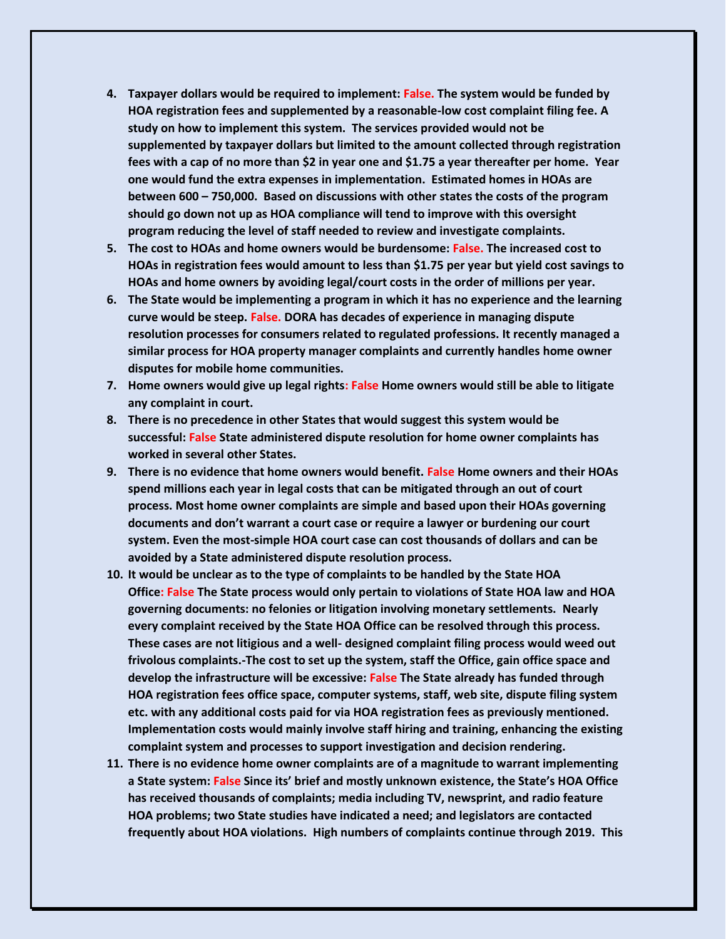- **4. Taxpayer dollars would be required to implement: False. The system would be funded by HOA registration fees and supplemented by a reasonable-low cost complaint filing fee. A study on how to implement this system. The services provided would not be supplemented by taxpayer dollars but limited to the amount collected through registration fees with a cap of no more than \$2 in year one and \$1.75 a year thereafter per home. Year one would fund the extra expenses in implementation. Estimated homes in HOAs are between 600 – 750,000. Based on discussions with other states the costs of the program should go down not up as HOA compliance will tend to improve with this oversight program reducing the level of staff needed to review and investigate complaints.**
- **5. The cost to HOAs and home owners would be burdensome: False. The increased cost to HOAs in registration fees would amount to less than \$1.75 per year but yield cost savings to HOAs and home owners by avoiding legal/court costs in the order of millions per year.**
- **6. The State would be implementing a program in which it has no experience and the learning curve would be steep. False. DORA has decades of experience in managing dispute resolution processes for consumers related to regulated professions. It recently managed a similar process for HOA property manager complaints and currently handles home owner disputes for mobile home communities.**
- **7. Home owners would give up legal rights: False Home owners would still be able to litigate any complaint in court.**
- **8. There is no precedence in other States that would suggest this system would be successful: False State administered dispute resolution for home owner complaints has worked in several other States.**
- **9. There is no evidence that home owners would benefit. False Home owners and their HOAs spend millions each year in legal costs that can be mitigated through an out of court process. Most home owner complaints are simple and based upon their HOAs governing documents and don't warrant a court case or require a lawyer or burdening our court system. Even the most-simple HOA court case can cost thousands of dollars and can be avoided by a State administered dispute resolution process.**
- **10. It would be unclear as to the type of complaints to be handled by the State HOA Office: False The State process would only pertain to violations of State HOA law and HOA governing documents: no felonies or litigation involving monetary settlements. Nearly every complaint received by the State HOA Office can be resolved through this process. These cases are not litigious and a well- designed complaint filing process would weed out frivolous complaints.-The cost to set up the system, staff the Office, gain office space and develop the infrastructure will be excessive: False The State already has funded through HOA registration fees office space, computer systems, staff, web site, dispute filing system etc. with any additional costs paid for via HOA registration fees as previously mentioned. Implementation costs would mainly involve staff hiring and training, enhancing the existing complaint system and processes to support investigation and decision rendering.**
- **11. There is no evidence home owner complaints are of a magnitude to warrant implementing a State system: False Since its' brief and mostly unknown existence, the State's HOA Office has received thousands of complaints; media including TV, newsprint, and radio feature HOA problems; two State studies have indicated a need; and legislators are contacted frequently about HOA violations. High numbers of complaints continue through 2019. This**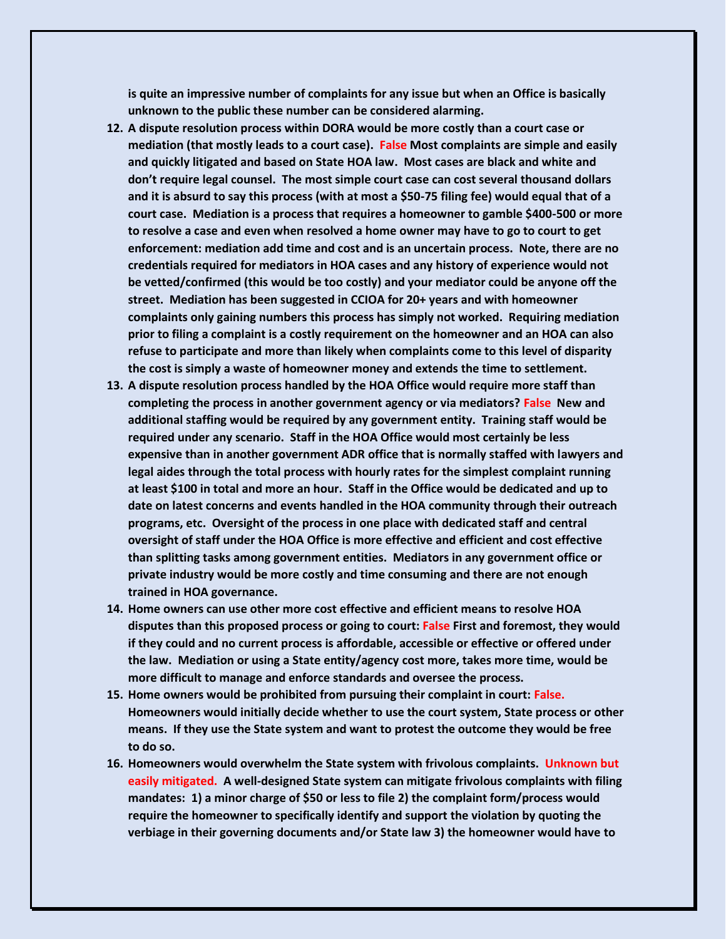**is quite an impressive number of complaints for any issue but when an Office is basically unknown to the public these number can be considered alarming.**

- **12. A dispute resolution process within DORA would be more costly than a court case or mediation (that mostly leads to a court case). False Most complaints are simple and easily and quickly litigated and based on State HOA law. Most cases are black and white and don't require legal counsel. The most simple court case can cost several thousand dollars and it is absurd to say this process (with at most a \$50-75 filing fee) would equal that of a court case. Mediation is a process that requires a homeowner to gamble \$400-500 or more to resolve a case and even when resolved a home owner may have to go to court to get enforcement: mediation add time and cost and is an uncertain process. Note, there are no credentials required for mediators in HOA cases and any history of experience would not be vetted/confirmed (this would be too costly) and your mediator could be anyone off the street. Mediation has been suggested in CCIOA for 20+ years and with homeowner complaints only gaining numbers this process has simply not worked. Requiring mediation prior to filing a complaint is a costly requirement on the homeowner and an HOA can also refuse to participate and more than likely when complaints come to this level of disparity the cost is simply a waste of homeowner money and extends the time to settlement.**
- **13. A dispute resolution process handled by the HOA Office would require more staff than completing the process in another government agency or via mediators? False New and additional staffing would be required by any government entity. Training staff would be required under any scenario. Staff in the HOA Office would most certainly be less expensive than in another government ADR office that is normally staffed with lawyers and legal aides through the total process with hourly rates for the simplest complaint running at least \$100 in total and more an hour. Staff in the Office would be dedicated and up to date on latest concerns and events handled in the HOA community through their outreach programs, etc. Oversight of the process in one place with dedicated staff and central oversight of staff under the HOA Office is more effective and efficient and cost effective than splitting tasks among government entities. Mediators in any government office or private industry would be more costly and time consuming and there are not enough trained in HOA governance.**
- **14. Home owners can use other more cost effective and efficient means to resolve HOA disputes than this proposed process or going to court: False First and foremost, they would if they could and no current process is affordable, accessible or effective or offered under the law. Mediation or using a State entity/agency cost more, takes more time, would be more difficult to manage and enforce standards and oversee the process.**
- **15. Home owners would be prohibited from pursuing their complaint in court: False. Homeowners would initially decide whether to use the court system, State process or other means. If they use the State system and want to protest the outcome they would be free to do so.**
- **16. Homeowners would overwhelm the State system with frivolous complaints. Unknown but easily mitigated. A well-designed State system can mitigate frivolous complaints with filing mandates: 1) a minor charge of \$50 or less to file 2) the complaint form/process would require the homeowner to specifically identify and support the violation by quoting the verbiage in their governing documents and/or State law 3) the homeowner would have to**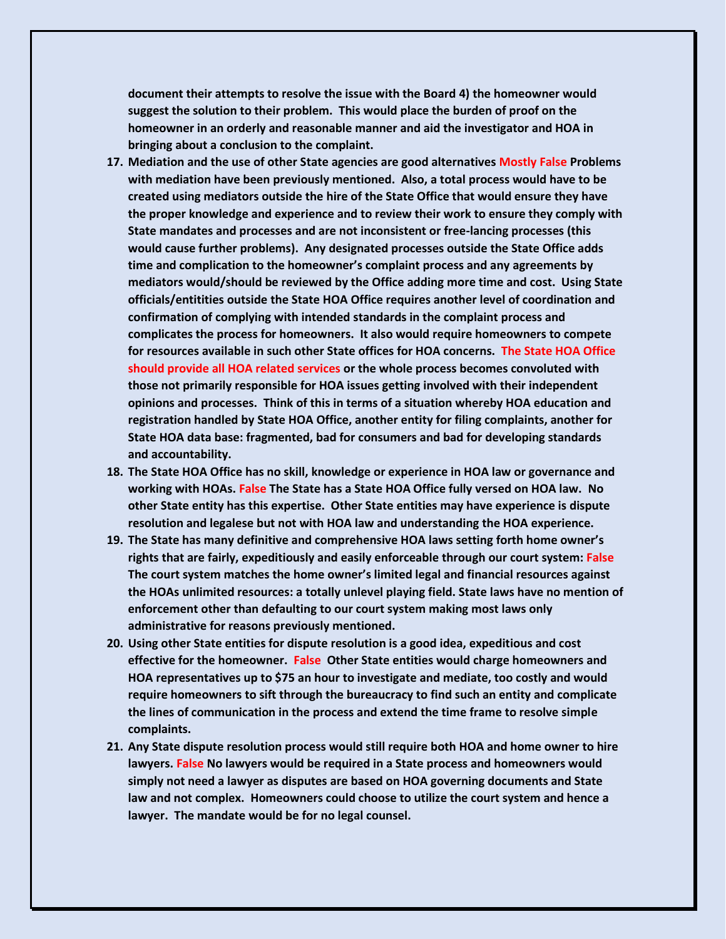**document their attempts to resolve the issue with the Board 4) the homeowner would suggest the solution to their problem. This would place the burden of proof on the homeowner in an orderly and reasonable manner and aid the investigator and HOA in bringing about a conclusion to the complaint.** 

- **17. Mediation and the use of other State agencies are good alternatives Mostly False Problems with mediation have been previously mentioned. Also, a total process would have to be created using mediators outside the hire of the State Office that would ensure they have the proper knowledge and experience and to review their work to ensure they comply with State mandates and processes and are not inconsistent or free-lancing processes (this would cause further problems). Any designated processes outside the State Office adds time and complication to the homeowner's complaint process and any agreements by mediators would/should be reviewed by the Office adding more time and cost. Using State officials/entitities outside the State HOA Office requires another level of coordination and confirmation of complying with intended standards in the complaint process and complicates the process for homeowners. It also would require homeowners to compete for resources available in such other State offices for HOA concerns. The State HOA Office should provide all HOA related services or the whole process becomes convoluted with those not primarily responsible for HOA issues getting involved with their independent opinions and processes. Think of this in terms of a situation whereby HOA education and registration handled by State HOA Office, another entity for filing complaints, another for State HOA data base: fragmented, bad for consumers and bad for developing standards and accountability.**
- **18. The State HOA Office has no skill, knowledge or experience in HOA law or governance and working with HOAs. False The State has a State HOA Office fully versed on HOA law. No other State entity has this expertise. Other State entities may have experience is dispute resolution and legalese but not with HOA law and understanding the HOA experience.**
- **19. The State has many definitive and comprehensive HOA laws setting forth home owner's rights that are fairly, expeditiously and easily enforceable through our court system: False The court system matches the home owner's limited legal and financial resources against the HOAs unlimited resources: a totally unlevel playing field. State laws have no mention of enforcement other than defaulting to our court system making most laws only administrative for reasons previously mentioned.**
- **20. Using other State entities for dispute resolution is a good idea, expeditious and cost effective for the homeowner. False Other State entities would charge homeowners and HOA representatives up to \$75 an hour to investigate and mediate, too costly and would require homeowners to sift through the bureaucracy to find such an entity and complicate the lines of communication in the process and extend the time frame to resolve simple complaints.**
- **21. Any State dispute resolution process would still require both HOA and home owner to hire lawyers. False No lawyers would be required in a State process and homeowners would simply not need a lawyer as disputes are based on HOA governing documents and State law and not complex. Homeowners could choose to utilize the court system and hence a lawyer. The mandate would be for no legal counsel.**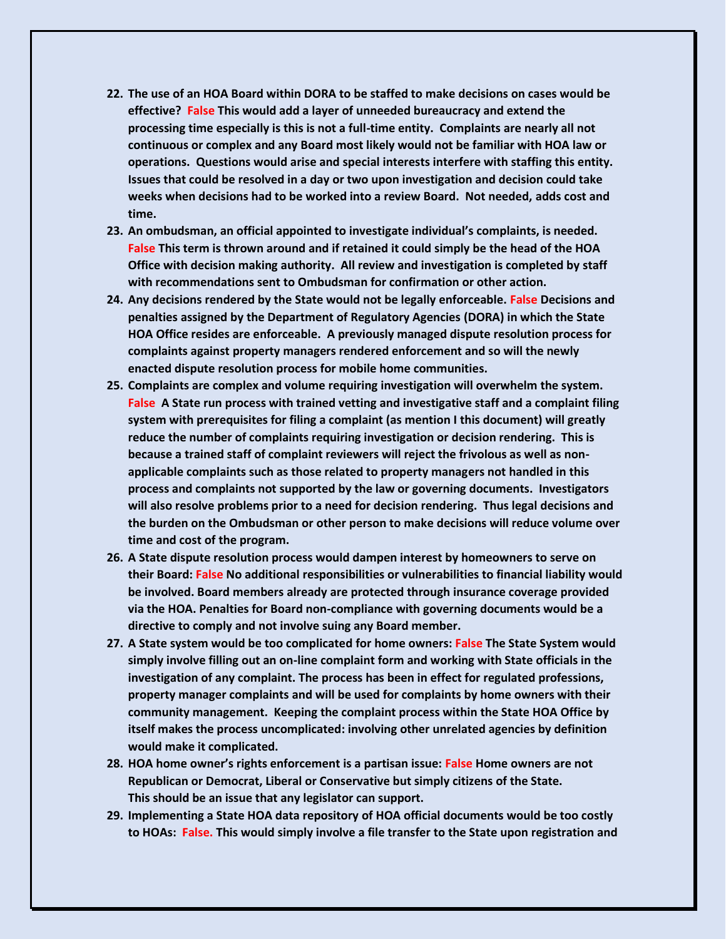- **22. The use of an HOA Board within DORA to be staffed to make decisions on cases would be effective? False This would add a layer of unneeded bureaucracy and extend the processing time especially is this is not a full-time entity. Complaints are nearly all not continuous or complex and any Board most likely would not be familiar with HOA law or operations. Questions would arise and special interests interfere with staffing this entity. Issues that could be resolved in a day or two upon investigation and decision could take weeks when decisions had to be worked into a review Board. Not needed, adds cost and time.**
- **23. An ombudsman, an official appointed to investigate individual's complaints, is needed. False This term is thrown around and if retained it could simply be the head of the HOA Office with decision making authority. All review and investigation is completed by staff with recommendations sent to Ombudsman for confirmation or other action.**
- **24. Any decisions rendered by the State would not be legally enforceable. False Decisions and penalties assigned by the Department of Regulatory Agencies (DORA) in which the State HOA Office resides are enforceable. A previously managed dispute resolution process for complaints against property managers rendered enforcement and so will the newly enacted dispute resolution process for mobile home communities.**
- **25. Complaints are complex and volume requiring investigation will overwhelm the system. False A State run process with trained vetting and investigative staff and a complaint filing system with prerequisites for filing a complaint (as mention I this document) will greatly reduce the number of complaints requiring investigation or decision rendering. This is because a trained staff of complaint reviewers will reject the frivolous as well as nonapplicable complaints such as those related to property managers not handled in this process and complaints not supported by the law or governing documents. Investigators will also resolve problems prior to a need for decision rendering. Thus legal decisions and the burden on the Ombudsman or other person to make decisions will reduce volume over time and cost of the program.**
- **26. A State dispute resolution process would dampen interest by homeowners to serve on their Board: False No additional responsibilities or vulnerabilities to financial liability would be involved. Board members already are protected through insurance coverage provided via the HOA. Penalties for Board non-compliance with governing documents would be a directive to comply and not involve suing any Board member.**
- **27. A State system would be too complicated for home owners: False The State System would simply involve filling out an on-line complaint form and working with State officials in the investigation of any complaint. The process has been in effect for regulated professions, property manager complaints and will be used for complaints by home owners with their community management. Keeping the complaint process within the State HOA Office by itself makes the process uncomplicated: involving other unrelated agencies by definition would make it complicated.**
- **28. HOA home owner's rights enforcement is a partisan issue: False Home owners are not Republican or Democrat, Liberal or Conservative but simply citizens of the State. This should be an issue that any legislator can support.**
- **29. Implementing a State HOA data repository of HOA official documents would be too costly to HOAs: False. This would simply involve a file transfer to the State upon registration and**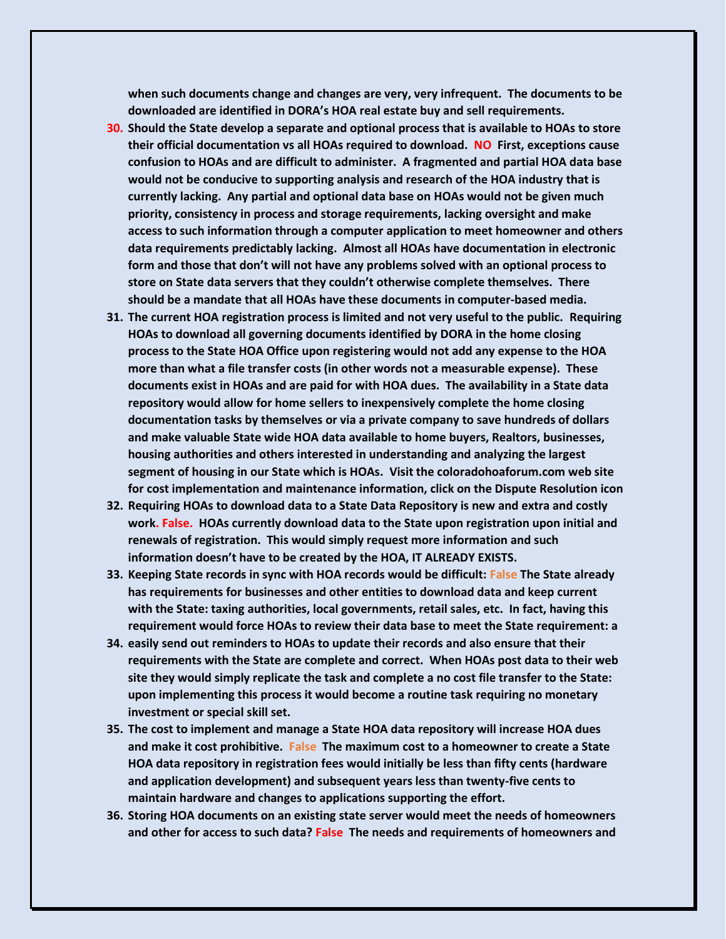**when such documents change and changes are very, very infrequent. The documents to be downloaded are identified in DORA's HOA real estate buy and sell requirements.** 

- **30. Should the State develop a separate and optional process that is available to HOAs to store their official documentation vs all HOAs required to download. NO First, exceptions cause confusion to HOAs and are difficult to administer. A fragmented and partial HOA data base would not be conducive to supporting analysis and research of the HOA industry that is currently lacking. Any partial and optional data base on HOAs would not be given much priority, consistency in process and storage requirements, lacking oversight and make access to such information through a computer application to meet homeowner and others data requirements predictably lacking. Almost all HOAs have documentation in electronic form and those that don't will not have any problems solved with an optional process to store on State data servers that they couldn't otherwise complete themselves. There should be a mandate that all HOAs have these documents in computer-based media.**
- **31. The current HOA registration process is limited and not very useful to the public. Requiring HOAs to download all governing documents identified by DORA in the home closing process to the State HOA Office upon registering would not add any expense to the HOA more than what a file transfer costs (in other words not a measurable expense). These documents exist in HOAs and are paid for with HOA dues. The availability in a State data repository would allow for home sellers to inexpensively complete the home closing documentation tasks by themselves or via a private company to save hundreds of dollars and make valuable State wide HOA data available to home buyers, Realtors, businesses, housing authorities and others interested in understanding and analyzing the largest segment of housing in our State which is HOAs. Visit the coloradohoaforum.com web site for cost implementation and maintenance information, click on the Dispute Resolution icon**
- **32. Requiring HOAs to download data to a State Data Repository is new and extra and costly work. False. HOAs currently download data to the State upon registration upon initial and renewals of registration. This would simply request more information and such information doesn't have to be created by the HOA, IT ALREADY EXISTS.**
- **33. Keeping State records in sync with HOA records would be difficult: False The State already has requirements for businesses and other entities to download data and keep current with the State: taxing authorities, local governments, retail sales, etc. In fact, having this requirement would force HOAs to review their data base to meet the State requirement: a**
- **34. easily send out reminders to HOAs to update their records and also ensure that their requirements with the State are complete and correct. When HOAs post data to their web site they would simply replicate the task and complete a no cost file transfer to the State: upon implementing this process it would become a routine task requiring no monetary investment or special skill set.**
- **35. The cost to implement and manage a State HOA data repository will increase HOA dues and make it cost prohibitive. False The maximum cost to a homeowner to create a State HOA data repository in registration fees would initially be less than fifty cents (hardware and application development) and subsequent years less than twenty-five cents to maintain hardware and changes to applications supporting the effort.**
- **36. Storing HOA documents on an existing state server would meet the needs of homeowners and other for access to such data? False The needs and requirements of homeowners and**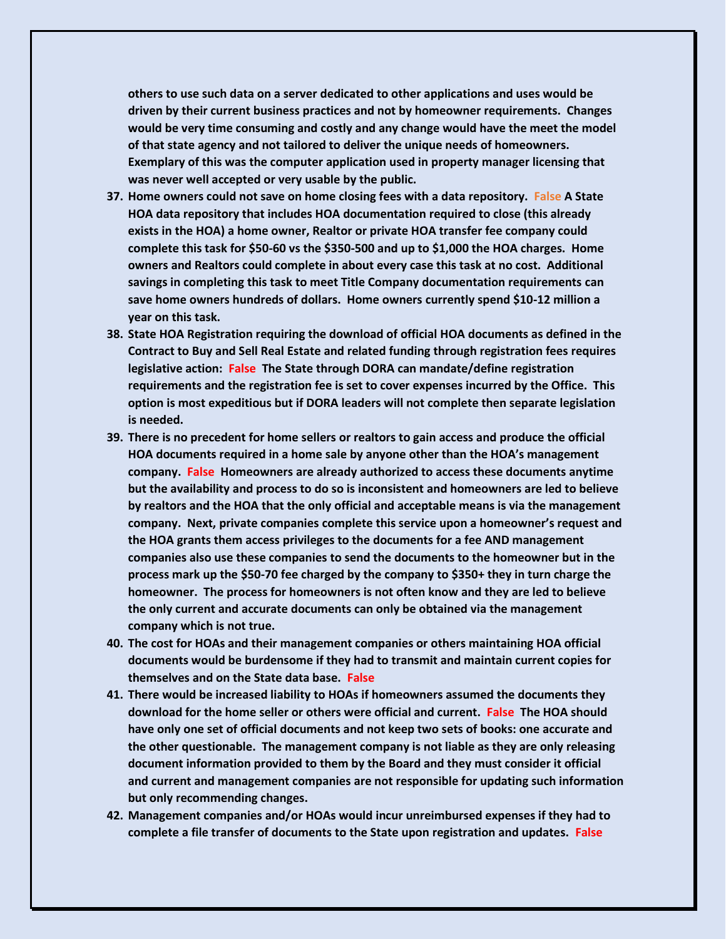**others to use such data on a server dedicated to other applications and uses would be driven by their current business practices and not by homeowner requirements. Changes would be very time consuming and costly and any change would have the meet the model of that state agency and not tailored to deliver the unique needs of homeowners. Exemplary of this was the computer application used in property manager licensing that was never well accepted or very usable by the public.**

- **37. Home owners could not save on home closing fees with a data repository. False A State HOA data repository that includes HOA documentation required to close (this already exists in the HOA) a home owner, Realtor or private HOA transfer fee company could complete this task for \$50-60 vs the \$350-500 and up to \$1,000 the HOA charges. Home owners and Realtors could complete in about every case this task at no cost. Additional savings in completing this task to meet Title Company documentation requirements can save home owners hundreds of dollars. Home owners currently spend \$10-12 million a year on this task.**
- **38. State HOA Registration requiring the download of official HOA documents as defined in the Contract to Buy and Sell Real Estate and related funding through registration fees requires legislative action: False The State through DORA can mandate/define registration requirements and the registration fee is set to cover expenses incurred by the Office. This option is most expeditious but if DORA leaders will not complete then separate legislation is needed.**
- **39. There is no precedent for home sellers or realtors to gain access and produce the official HOA documents required in a home sale by anyone other than the HOA's management company. False Homeowners are already authorized to access these documents anytime but the availability and process to do so is inconsistent and homeowners are led to believe by realtors and the HOA that the only official and acceptable means is via the management company. Next, private companies complete this service upon a homeowner's request and the HOA grants them access privileges to the documents for a fee AND management companies also use these companies to send the documents to the homeowner but in the process mark up the \$50-70 fee charged by the company to \$350+ they in turn charge the homeowner. The process for homeowners is not often know and they are led to believe the only current and accurate documents can only be obtained via the management company which is not true.**
- **40. The cost for HOAs and their management companies or others maintaining HOA official documents would be burdensome if they had to transmit and maintain current copies for themselves and on the State data base. False**
- **41. There would be increased liability to HOAs if homeowners assumed the documents they download for the home seller or others were official and current. False The HOA should have only one set of official documents and not keep two sets of books: one accurate and the other questionable. The management company is not liable as they are only releasing document information provided to them by the Board and they must consider it official and current and management companies are not responsible for updating such information but only recommending changes.**
- **42. Management companies and/or HOAs would incur unreimbursed expenses if they had to complete a file transfer of documents to the State upon registration and updates. False**